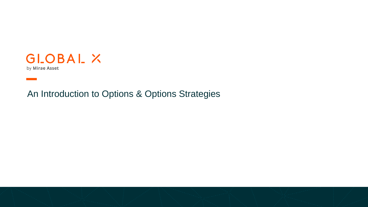

An Introduction to Options & Options Strategies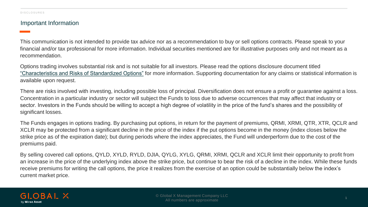#### Important Information

This communication is not intended to provide tax advice nor as a recommendation to buy or sell options contracts. Please speak to your financial and/or tax professional for more information. Individual securities mentioned are for illustrative purposes only and not meant as a recommendation.

Options trading involves substantial risk and is not suitable for all investors. Please read the options disclosure document titled ["Characteristics and Risks of Standardized Options"](https://www.theocc.com/Company-Information/Documents-and-Archives/Options-Disclosure-Document) for more information. Supporting documentation for any claims or statistical information is available upon request.

There are risks involved with investing, including possible loss of principal. Diversification does not ensure a profit or guarantee against a loss. Concentration in a particular industry or sector will subject the Funds to loss due to adverse occurrences that may affect that industry or sector. Investors in the Funds should be willing to accept a high degree of volatility in the price of the fund's shares and the possibility of significant losses.

The Funds engages in options trading. By purchasing put options, in return for the payment of premiums, QRMI, XRMI, QTR, XTR, QCLR and XCLR may be protected from a significant decline in the price of the index if the put options become in the money (index closes below the strike price as of the expiration date); but during periods where the index appreciates, the Fund will underperform due to the cost of the premiums paid.

By selling covered call options, QYLD, XYLD, RYLD, DJIA, QYLG, XYLG, QRMI, XRMI, QCLR and XCLR limit their opportunity to profit from an increase in the price of the underlying index above the strike price, but continue to bear the risk of a decline in the index. While these funds receive premiums for writing the call options, the price it realizes from the exercise of an option could be substantially below the index's current market price.

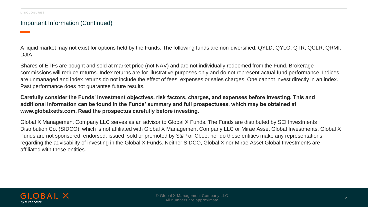#### Important Information (Continued)

A liquid market may not exist for options held by the Funds. The following funds are non-diversified: QYLD, QYLG, QTR, QCLR, QRMI, DJIA

Shares of ETFs are bought and sold at market price (not NAV) and are not individually redeemed from the Fund. Brokerage commissions will reduce returns. Index returns are for illustrative purposes only and do not represent actual fund performance. Indices are unmanaged and index returns do not include the effect of fees, expenses or sales charges. One cannot invest directly in an index. Past performance does not guarantee future results.

#### **Carefully consider the Funds' investment objectives, risk factors, charges, and expenses before investing. This and additional information can be found in the Funds' summary and full prospectuses, which may be obtained at www.globalxetfs.com. Read the prospectus carefully before investing.**

Global X Management Company LLC serves as an advisor to Global X Funds. The Funds are distributed by SEI Investments Distribution Co. (SIDCO), which is not affiliated with Global X Management Company LLC or Mirae Asset Global Investments. Global X Funds are not sponsored, endorsed, issued, sold or promoted by S&P or Cboe, nor do these entities make any representations regarding the advisability of investing in the Global X Funds. Neither SIDCO, Global X nor Mirae Asset Global Investments are affiliated with these entities.

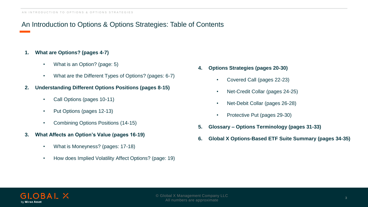# An Introduction to Options & Options Strategies: Table of Contents

#### **1. What are Options? (pages 4-7)**

- What is an Option? (page: 5)
- What are the Different Types of Options? (pages: 6-7)
- **2. Understanding Different Options Positions (pages 8-15)**
	- Call Options (pages 10-11)
	- Put Options (pages 12-13)
	- Combining Options Positions (14-15)
- **3. What Affects an Option's Value (pages 16-19)**
	- What is Moneyness? (pages: 17-18)
	- How does Implied Volatility Affect Options? (page: 19)
- **4. Options Strategies (pages 20-30)**
	- Covered Call (pages 22-23)
	- Net-Credit Collar (pages 24-25)
	- Net-Debit Collar (pages 26-28)
	- Protective Put (pages 29-30)
- **5. Glossary – Options Terminology (pages 31-33)**
- **6. Global X Options-Based ETF Suite Summary (pages 34-35)**

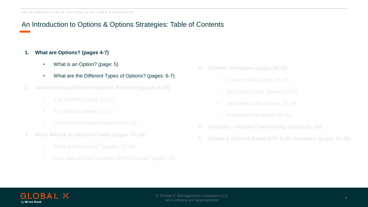# An Introduction to Options & Options Strategies: Table of Contents

#### **1. What are Options? (pages 4-7)**

- What is an Option? (page: 5)
- What are the Different Types of Options? (pages: 6-7)
- **2. Understanding Different Options Positions (pages 8-15)**
	- Call Options (pages 10-11)
	-
	-
- **3. What Affects an Option's Value (pages 16-19)**
	-
	-
- **4. Options Strategies (pages 20-30)**
	-
	- Net-Credit Collar (pages 24-25)
	- Net-Debit Collar (pages 26-28)
	-
- **5. Glossary – Options Terminology (pages 31-33)**
- **6. Global X Options-Based ETF Suite Summary (pages 34-35)**

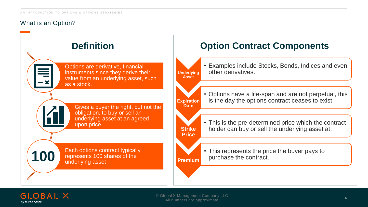# What is an Option?



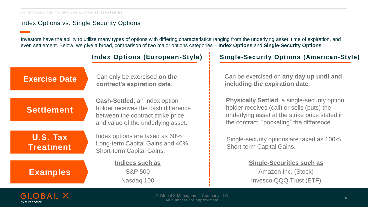# Index Options vs. Single Security Options

Investors have the ability to utilize many types of options with differing characteristics ranging from the underlying asset, time of expiration, and even settlement. Below, we give a broad, comparison of two major options categories – **Index Options** and **Single-Security Options**.

Can only be exercised **on the contract's expiration date**.

# **Settlement**

**Cash-Settled**, an index option holder receives the cash difference between the contract strike price and value of the underlying asset.

**U.S. Tax Treatment**

**Examples**

Index options are taxed as 60% Long-term Capital Gains and 40% Short-term Capital Gains.

**Indices such as** S&P 500 Nasdaq 100

# **Index Options (European-Style) Single-Security Options (American-Style)**

**Exercise Date** Can only be exercised on the **Can be exercised on any day up until and including the expiration date**.

> **Physically Settled**, a single-security option holder receives (call) or sells (puts) the underlying asset at the strike price stated in the contract, "pocketing" the difference.

Single-security options are taxed as 100% Short-term Capital Gains.

#### **Single-Securities such as**

Amazon Inc. (Stock) Invesco QQQ Trust (ETF)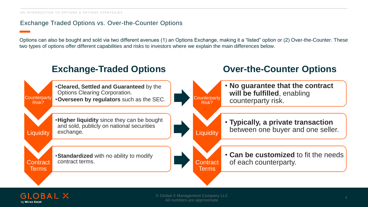# Exchange Traded Options vs. Over-the-Counter Options

Options can also be bought and sold via two different avenues (1) an Options Exchange, making it a "listed" option or (2) Over-the-Counter. These two types of options offer different capabilities and risks to investors where we explain the main differences below.



#### $GIOBAI \times$ by Mirae Asset

© Global X Management Company LLC All numbers are approximate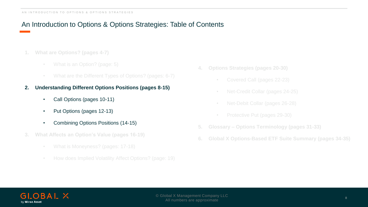# An Introduction to Options & Options Strategies: Table of Contents

- **1. What are Options? (pages 4-7)**
	-
	-
- **2. Understanding Different Options Positions (pages 8-15)**
	- Call Options (pages 10-11)
	- Put Options (pages 12-13)
	- Combining Options Positions (14-15)
- **3. What Affects an Option's Value (pages 16-19)**
	-
	-
- **4. Options Strategies (pages 20-30)**
	- Covered Call (pages 22-23)
	- Net-Credit Collar (pages 24-25)
	- Net-Debit Collar (pages 26-28)
	-
- **5. Glossary – Options Terminology (pages 31-33)**
- **6. Global X Options-Based ETF Suite Summary (pages 34-35)**

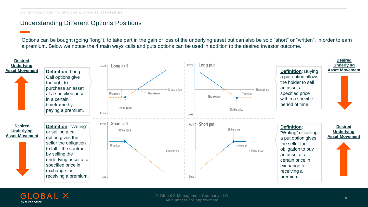# Understanding Different Options Positions

Options can be bought (going "long"), to take part in the gain or loss of the underlying asset but can also be sold "short" or "written", in order to earn a premium. Below we notate the 4 main ways calls and puts options can be used in addition to the desired investor outcome.



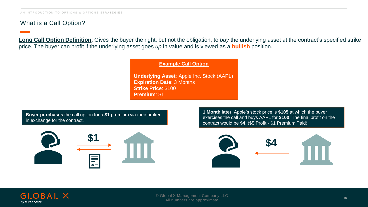# What is a Call Option?

**Long Call Option Definition**: Gives the buyer the right, but not the obligation, to *buy* the underlying asset at the contract's specified strike price. The buyer can profit if the underlying asset goes *up* in value and is viewed as a **bullish** position.

**Example Call Option**

**Underlying Asset**: Apple Inc. Stock (AAPL) **Expiration Date**: 3 Months **Strike Price**: \$100 **Premium**: \$1

**Buyer purchases** the call option for a **\$1** premium via their broker in exchange for the contract.



**1 Month later**, Apple's stock price is **\$105** at which the buyer exercises the call and buys AAPL for **\$100**. The final profit on the contract would be **\$4**. (\$5 Profit - \$1 Premium Paid)



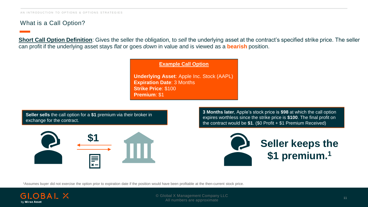# What is a Call Option?

**Short Call Option Definition**: Gives the seller the obligation, to *sell* the underlying asset at the contract's specified strike price. The seller can profit if the underlying asset stays *flat* or goes *down* in value and is viewed as a **bearish** position.

**Example Call Option**

**Underlying Asset**: Apple Inc. Stock (AAPL) **Expiration Date**: 3 Months **Strike Price**: \$100 **Premium**: \$1

**Seller sells** the call option for a **\$1** premium via their broker in exchange for the contract.



**3 Months later**, Apple's stock price is **\$98** at which the call option expires worthless since the strike price is **\$100**. The final profit on the contract would be **\$1**. (\$0 Profit + \$1 Premium Received)



1Assumes buyer did not exercise the option prior to expiration date if the position would have been profitable at the then-current stock price.

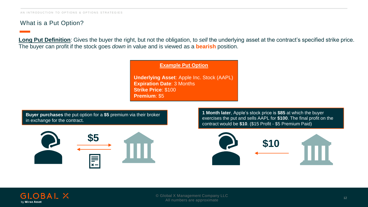# What is a Put Option?

**Long Put Definition**: Gives the buyer the right, but not the obligation, to *sell* the underlying asset at the contract's specified strike price. The buyer can profit if the stock goes *down* in value and is viewed as a **bearish** position.

#### **Example Put Option**

**Underlying Asset**: Apple Inc. Stock (AAPL) **Expiration Date**: 3 Months **Strike Price**: \$100 **Premium**: \$5

**Buyer purchases** the put option for a **\$5** premium via their broker in exchange for the contract.



**1 Month later**, Apple's stock price is **\$85** at which the buyer exercises the put and sells AAPL for **\$100**. The final profit on the contract would be **\$10**. (\$15 Profit - \$5 Premium Paid)



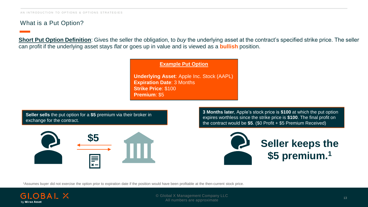# What is a Put Option?

**Short Put Option Definition**: Gives the seller the obligation, to *buy* the underlying asset at the contract's specified strike price. The seller can profit if the underlying asset stays *flat* or goes up in value and is viewed as a **bullish** position.

**Example Put Option**

**Underlying Asset**: Apple Inc. Stock (AAPL) **Expiration Date**: 3 Months **Strike Price**: \$100 **Premium**: \$5

**Seller sells** the put option for a **\$5** premium via their broker in exchange for the contract.



**3 Months later**, Apple's stock price is **\$100** at which the put option expires worthless since the strike price is **\$100**. The final profit on the contract would be **\$5**. (\$0 Profit + \$5 Premium Received)



1Assumes buyer did not exercise the option prior to expiration date if the position would have been profitable at the then-current stock price.

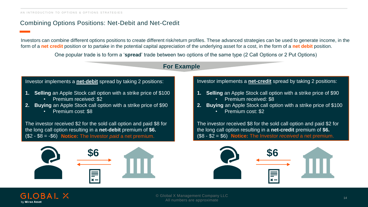# Combining Options Positions: Net-Debit and Net-Credit

Investors can combine different options positions to create different risk/return profiles. These advanced strategies can be used to generate income, in the form of a **net credit** position or to partake in the potential capital appreciation of the underlying asset for a cost, in the form of a **net debit** position.

One popular trade is to form a '**spread**' trade between two options of the same type (2 Call Options or 2 Put Options)

# **For Example**

#### Investor implements a **net-debit** spread by taking 2 positions:

- **1. Selling** an Apple Stock call option with a strike price of \$100
	- Premium received: \$2
- **2. Buying** an Apple Stock call option with a strike price of \$90 • Premium cost: \$8

The investor received \$2 for the sold call option and paid \$8 for the long call option resulting in a **net-debit** premium of **\$6.**   $($2 - $8 = -$6)$  Notice: The Investor paid a net premium.



#### Investor implements a **net-credit** spread by taking 2 positions:

- **1. Selling** an Apple Stock call option with a strike price of \$90
	- Premium received: \$8
- **2. Buying** an Apple Stock call option with a strike price of \$100 • Premium cost: \$2

The investor received \$8 for the sold call option and paid \$2 for the long call option resulting in a **net-credit** premium of **\$6. Notice:** The Investor *paid* a net premium. (\$8 - \$2 = \$6) **Notice:** The Investor *received* a net premium.



#### GLOBAL X by Mirae Asset

<sup>14</sup> © Global X Management Company LLC All numbers are approximate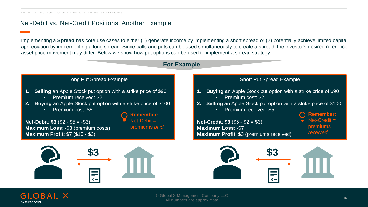# Net-Debit vs. Net-Credit Positions: Another Example

Implementing a **Spread** has core use cases to either (1) generate income by implementing a short spread or (2) potentially achieve limited capital appreciation by implementing a long spread. Since calls and puts can be used simultaneously to create a spread, the investor's desired reference asset price movement may differ. Below we show how put options can be used to implement a spread strategy.





All numbers are approximate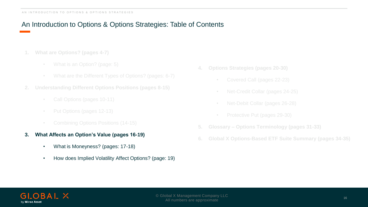# An Introduction to Options & Options Strategies: Table of Contents

- **1. What are Options? (pages 4-7)**
	-
	-
- **2. Understanding Different Options Positions (pages 8-15)**
	- Call Options (pages 10-11)
	-
	-
- **3. What Affects an Option's Value (pages 16-19)**
	- What is Moneyness? (pages: 17-18)
	- How does Implied Volatility Affect Options? (page: 19)
- **4. Options Strategies (pages 20-30)**
	- Covered Call (pages 22-23)
	- Net-Credit Collar (pages 24-25)
	- Net-Debit Collar (pages 26-28)
	-
- **5. Glossary – Options Terminology (pages 31-33)**
- **6. Global X Options-Based ETF Suite Summary (pages 34-35)**

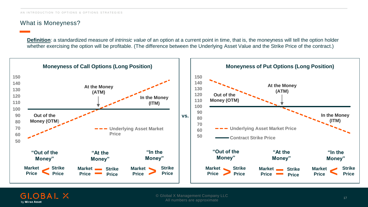# What is Moneyness?

**Definition**: a standardized measure of *intrinsic value* of an option at a current point in time, that is, the moneyness will tell the option holder whether exercising the option will be profitable. (The difference between the Underlying Asset Value and the Strike Price of the contract.)



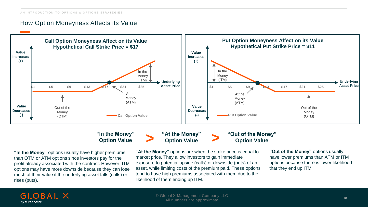### How Option Moneyness Affects its Value



#### **"In the Money" Option Value**

**"At the Money" Option Value**

# **"Out of the Money" > > Option Value**

**"In the Money"** options usually have higher premiums than OTM or ATM options since investors pay for the profit already associated with the contract. However, ITM options may have more downside because they can lose much of their value if the underlying asset falls (calls) or rises (puts).

**"At the Money"** options are when the strike price is equal to market price. They allow investors to gain immediate exposure to potential upside (calls) or downside (puts) of an asset, while limiting costs of the premium paid. These options tend to have high premiums associated with them due to the likelihood of them ending up ITM.

**"Out of the Money"** options usually have lower premiums than ATM or ITM options because there is lower likelihood that they end up ITM.

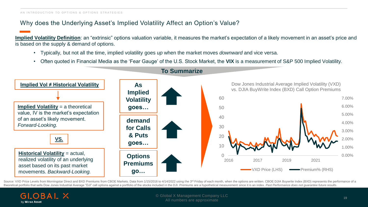# Why does the Underlying Asset's Implied Volatility Affect an Option's Value?

**Implied Volatility Definition**: an "extrinsic" options valuation variable, it measures the market's expectation of a likely movement in an asset's price and is based on the supply & demand of options.

- Typically, but not all the time, implied volatility goes *up* when the market moves *downward* and vice versa.
- Often quoted in Financial Media as the 'Fear Gauge' of the U.S. Stock Market, the **VIX** is a measurement of S&P 500 Implied Volatility.



**To Summarize**

Source: VXD Price Levels from Morningstar Direct and BXD Premiums from CBOE Markets. Data from 1/15/2016 to 4/14/2022 using the 3<sup>rd</sup> Friday of each month, when the options are written. CBOE DJIA Buywrite Index (BXD) repre theoretical portfolio that sells Dow Jones Industrial Average "DJI" call options against a portfolio of the stocks included in the DJI. Premiums are a hypothetical measurement since it is an index. Past Performance does no

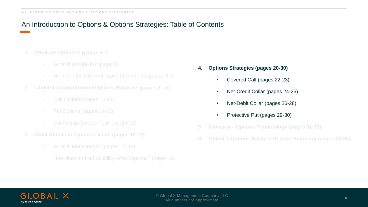# An Introduction to Options & Options Strategies: Table of Contents

- **1. What are Options? (pages 4-7)**
	-
	-
- **2. Understanding Different Options Positions (pages 8-15)**
	- Call Options (pages 10-11)
	-
	-
- **3. What Affects an Option's Value (pages 16-19)**
	-
	-
- **4. Options Strategies (pages 20-30)**
	- Covered Call (pages 22-23)
	- Net-Credit Collar (pages 24-25)
	- Net-Debit Collar (pages 26-28)
	- Protective Put (pages 29-30)
- **5. Glossary – Options Terminology (pages 31-33)**
- **6. Global X Options-Based ETF Suite Summary (pages 34-35)**

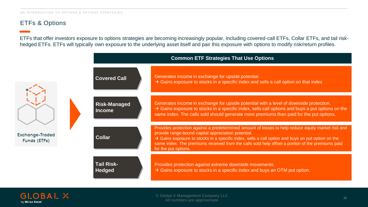# ETFs & Options

ETFs that offer investors exposure to options strategies are becoming increasingly popular, including covered-call ETFs, Collar ETFs, and tail riskhedged ETFs. ETFs will typically own exposure to the underlying asset itself and pair this exposure with options to modify risk/return profiles.



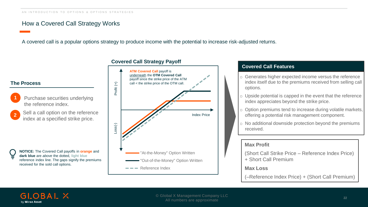# How a Covered Call Strategy Works

A covered call is a popular options strategy to produce income with the potential to increase risk-adjusted returns.

**1** Purchase securities underlying the reference index. Sell a call option on the reference index at a specified strike price. **The Process NOTICE:** The Covered Call payoffs in **orange** and Profit (+) Loss(-)

**2**

**dark blue** are *above* the dotted, **light blue** reference index line. The gaps signify the premiums received for the sold call options.



#### **Covered Call Features**

- o Generates higher expected income versus the reference index itself due to the premiums received from selling call options.
- o Upside potential is capped in the event that the reference index appreciates beyond the strike price.
- $\circ$  Option premiums tend to increase during volatile markets, offering a potential risk management component.
- o No additional downside protection beyond the premiums received.

#### **Max Profit**

(Short Call Strike Price – Reference Index Price) + Short Call Premium

#### **Max Loss**

(–Reference Index Price) + (Short Call Premium)

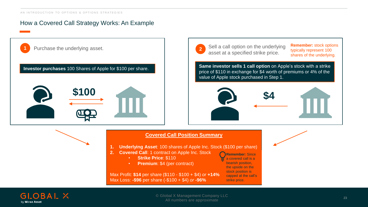# How a Covered Call Strategy Works: An Example

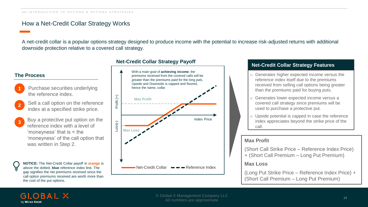### How a Net-Credit Collar Strategy Works

A net-credit collar is a popular options strategy designed to produce income with the potential to increase risk-adjusted returns with additional downside protection relative to a covered call strategy.

#### **The Process**

**1** Purchase securities underlying the reference index.

- **2** Sell a call option on the reference index at a specified strike price.
- **3** Buy a protective put option on the reference index with a level of 'moneyness' that is < the 'moneyness' of the call option that was written in Step 2.

**NOTICE:** The Net-Credit Collar payoff in **orange** is *above* the dotted, **blue** reference index line. The gap signifies the net premiums received since the call option premiums received are worth more than the cost of the put options.

# **Net-Credit Collar Strategy Payoff Net-Credit Collar Strategy Features**



- o Generates higher expected income versus the reference index itself due to the premiums received from selling call options being greater than the premiums paid for buying puts.
- o Generates lower expected income versus a covered call strategy since premiums will be used to purchase a protective put.
- o Upside potential is capped in case the reference index appreciates beyond the strike price of the call.

#### **Max Profit**

(Short Call Strike Price – Reference Index Price) + (Short Call Premium – Long Put Premium)

#### **Max Loss**

(Long Put Strike Price – Reference Index Price) + (Short Call Premium – Long Put Premium)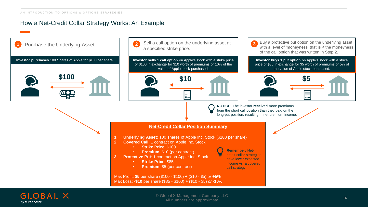# How a Net-Credit Collar Strategy Works: An Example

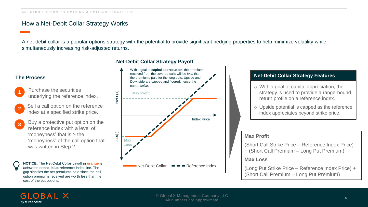# How a Net-Debit Collar Strategy Works

A net-debit collar is a popular options strategy with the potential to provide significant hedging properties to help minimize volatility while simultaneously increasing risk-adjusted returns.



#### **Net-Debit Collar Strategy Payoff**

#### **Net-Debit Collar Strategy Features**

- o With a goal of capital appreciation, the strategy is used to provide a range-bound return profile on a reference index.
- o Upside potential is capped as the reference index appreciates beyond strike price.

#### **Max Profit**

(Short Call Strike Price – Reference Index Price) + (Short Call Premium – Long Put Premium)

#### **Max Loss**

(Long Put Strike Price – Reference Index Price) + (Short Call Premium – Long Put Premium)

#### **GLOBAL X** by Mirae Asset

cost of the put options.

gap signifies the net premiums paid since the call option premiums received are worth less than the

**1**

**2**

**3**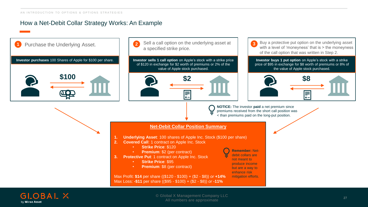# How a Net-Debit Collar Strategy Works: An Example

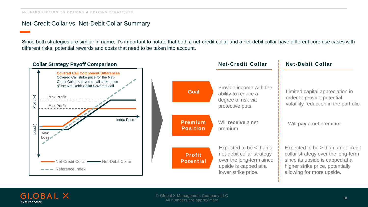#### Net-Credit Collar vs. Net-Debit Collar Summary

Since both strategies are similar in name, it's important to notate that both a net-credit collar and a net-debit collar have different core use cases with different risks, potential rewards and costs that need to be taken into account.



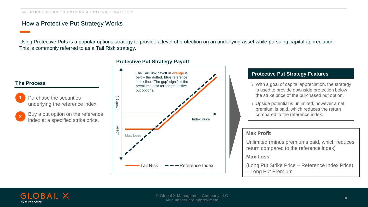### How a Protective Put Strategy Works

Using Protective Puts is a popular options strategy to provide a level of protection on an underlying asset while pursuing capital appreciation. This is commonly referred to as a Tail Risk strategy.



#### **Protective Put Strategy Payoff**

#### **Protective Put Strategy Features**

- o With a goal of capital appreciation, the strategy is used to provide downside protection below the strike price of the purchased put option.
- o Upside potential is unlimited, however a net premium is paid, which reduces the return compared to the reference index.

#### **Max Profit**

Unlimited (minus premiums paid, which reduces return compared to the reference index)

#### **Max Loss**

(Long Put Strike Price – Reference Index Price) – Long Put Premium



**2**

**The Process**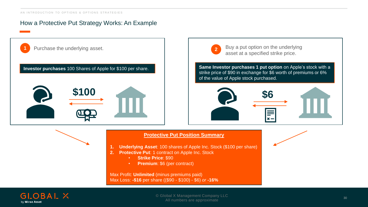# How a Protective Put Strategy Works: An Example



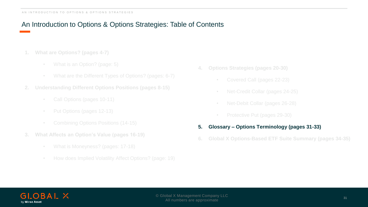# An Introduction to Options & Options Strategies: Table of Contents

- **1. What are Options? (pages 4-7)**
	-
	-
- **2. Understanding Different Options Positions (pages 8-15)**
	- Call Options (pages 10-11)
	-
	-
- **3. What Affects an Option's Value (pages 16-19)**
	-
	-
- **4. Options Strategies (pages 20-30)**
	- Covered Call (pages 22-23)
	- Net-Credit Collar (pages 24-25)
	- Net-Debit Collar (pages 26-28)
	-

#### **5. Glossary – Options Terminology (pages 31-33)**

**6. Global X Options-Based ETF Suite Summary (pages 34-35)**

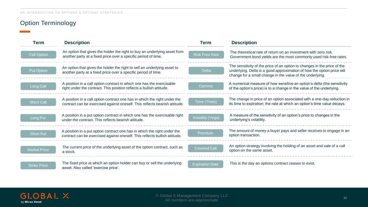# Option Terminology

| Term                | <b>Description</b>                                                                                                                                      | <b>Term</b>            | <b>Description</b>                                                                                                                                                                                              |  |
|---------------------|---------------------------------------------------------------------------------------------------------------------------------------------------------|------------------------|-----------------------------------------------------------------------------------------------------------------------------------------------------------------------------------------------------------------|--|
| <b>Call Option</b>  | An option that gives the holder the right to buy an underlying asset from<br>another party at a fixed price over a specific period of time.             | <b>Risk Free Rate</b>  | The theoretical rate of return on an investment with zero risk.<br>Government bond yields are the most commonly used risk-free rates.                                                                           |  |
| <b>Put Option</b>   | An option that gives the holder the right to sell an underlying asset to<br>another party at a fixed price over a specific period of time.              | <b>Delta</b>           | The sensitivity of the price of an option to changes in the price of the<br>underlying. Delta is a good approximation of how the option price will<br>change for a small change in the value of the underlying. |  |
| Long Call           | A position in a call option contract in which one has the exercisable<br>right under the contract. This position reflects a bullish attitude.           | Gamma                  | A numerical measure of how sensitive an option's delta (the sensitivity<br>of the option's price) is to a change in the value of the underlying.                                                                |  |
| <b>Short Call</b>   | A position in a call option contract one has in which the right under the<br>contract can be exercised against oneself. This reflects bearish attitude. | Time (Theta)           | The change in price of an option associated with a one-day reduction in<br>its time to expiration; the rate at which an option's time value decays.                                                             |  |
| Long Put            | A position in a put option contract in which one has the exercisable right<br>under the contract. This reflects bearish attitude.                       | Volatility (Vega)      | A measure of the sensitivity of an option's price to changes in the<br>underlying's volatility.                                                                                                                 |  |
| <b>Short Put</b>    | A position in a put option contract one has in which the right under the<br>contract can be exercised against oneself. This reflects bullish attitude.  | Premium                | The amount of money a buyer pays and seller receives to engage in an<br>option transaction.                                                                                                                     |  |
| <b>Market Price</b> | The current price of the underlying asset of the option contract, such as<br>a stock.                                                                   | <b>Covered Call</b>    | An option strategy involving the holding of an asset and sale of a call<br>option on the same asset.                                                                                                            |  |
| <b>Strike Price</b> | The fixed price at which an option holder can buy or sell the underlying<br>asset. Also called 'exercise price'.                                        | <b>Expiration Date</b> | This is the day an options contract ceases to exist.                                                                                                                                                            |  |

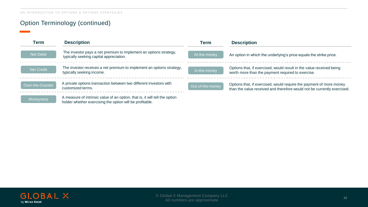# Option Terminology (continued)

| Term             | <b>Description</b>                                                                                                                      |                  | <b>Description</b>                                                                                                                             |  |
|------------------|-----------------------------------------------------------------------------------------------------------------------------------------|------------------|------------------------------------------------------------------------------------------------------------------------------------------------|--|
| Net Debit        | The investor pays a net premium to implement an options strategy,<br>typically seeking capital appreciation.                            | At-the-money     | An option in which the underlying's price equals the strike price.                                                                             |  |
| Net Credit       | The investor receives a net premium to implement an options strategy,<br>typically seeking income.                                      | In-the-money     | Options that, if exercised, would result in the value received being<br>worth more than the payment required to exercise.                      |  |
| Over-the-Counter | A private options transaction between two different investors with<br>customized terms.                                                 | Out-of-the-money | Options that, if exercised, would require the payment of more money<br>than the value received and therefore would not be currently exercised. |  |
| <b>Moneyness</b> | A measure of intrinsic value of an option, that is, it will tell the option<br>holder whether exercising the option will be profitable. |                  |                                                                                                                                                |  |

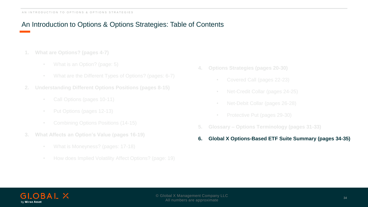# An Introduction to Options & Options Strategies: Table of Contents

- **1. What are Options? (pages 4-7)**
	-
	-
- **2. Understanding Different Options Positions (pages 8-15)**
	- Call Options (pages 10-11)
	-
	-
- **3. What Affects an Option's Value (pages 16-19)**
	-
	-
- **4. Options Strategies (pages 20-30)**
	- Covered Call (pages 22-23)
	- Net-Credit Collar (pages 24-25)
	- Net-Debit Collar (pages 26-28)
	-
- **5. Glossary – Options Terminology (pages 31-33)**
- **6. Global X Options-Based ETF Suite Summary (pages 34-35)**